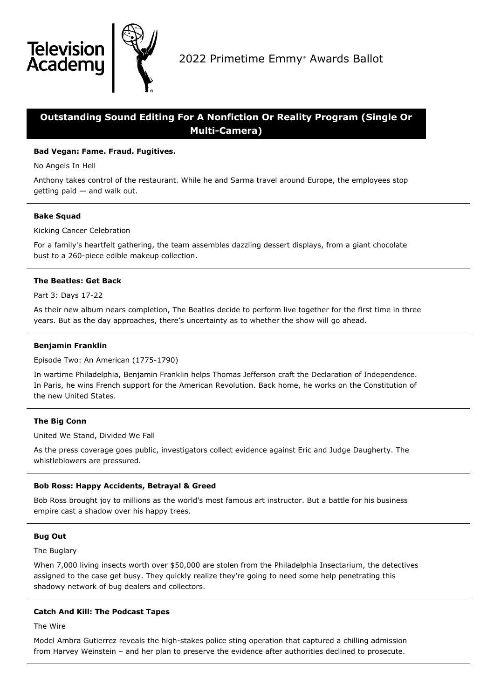

## **Outstanding Sound Editing For A Nonfiction Or Reality Program (Single Or Multi-Camera)**

## **Bad Vegan: Fame. Fraud. Fugitives.**

No Angels In Hell

**Televisio** Academu

Anthony takes control of the restaurant. While he and Sarma travel around Europe, the employees stop getting paid — and walk out.

## **Bake Squad**

Kicking Cancer Celebration

For a family's heartfelt gathering, the team assembles dazzling dessert displays, from a giant chocolate bust to a 260-piece edible makeup collection.

## **The Beatles: Get Back**

Part 3: Days 17-22

As their new album nears completion, The Beatles decide to perform live together for the first time in three years. But as the day approaches, there's uncertainty as to whether the show will go ahead.

## **Benjamin Franklin**

Episode Two: An American (1775-1790)

In wartime Philadelphia, Benjamin Franklin helps Thomas Jefferson craft the Declaration of Independence. In Paris, he wins French support for the American Revolution. Back home, he works on the Constitution of the new United States.

## **The Big Conn**

United We Stand, Divided We Fall

As the press coverage goes public, investigators collect evidence against Eric and Judge Daugherty. The whistleblowers are pressured.

## **Bob Ross: Happy Accidents, Betrayal & Greed**

Bob Ross brought joy to millions as the world's most famous art instructor. But a battle for his business empire cast a shadow over his happy trees.

## **Bug Out**

The Buglary

When 7,000 living insects worth over \$50,000 are stolen from the Philadelphia Insectarium, the detectives assigned to the case get busy. They quickly realize they're going to need some help penetrating this shadowy network of bug dealers and collectors.

## **Catch And Kill: The Podcast Tapes**

The Wire

Model Ambra Gutierrez reveals the high-stakes police sting operation that captured a chilling admission from Harvey Weinstein – and her plan to preserve the evidence after authorities declined to prosecute.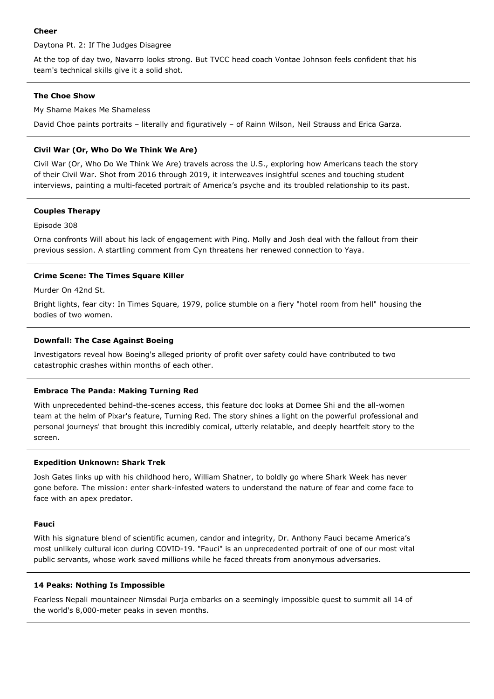#### **Cheer**

Daytona Pt. 2: If The Judges Disagree

At the top of day two, Navarro looks strong. But TVCC head coach Vontae Johnson feels confident that his team's technical skills give it a solid shot.

## **The Choe Show**

My Shame Makes Me Shameless

David Choe paints portraits – literally and figuratively – of Rainn Wilson, Neil Strauss and Erica Garza.

## **Civil War (Or, Who Do We Think We Are)**

Civil War (Or, Who Do We Think We Are) travels across the U.S., exploring how Americans teach the story of their Civil War. Shot from 2016 through 2019, it interweaves insightful scenes and touching student interviews, painting a multi-faceted portrait of America's psyche and its troubled relationship to its past.

## **Couples Therapy**

#### Episode 308

Orna confronts Will about his lack of engagement with Ping. Molly and Josh deal with the fallout from their previous session. A startling comment from Cyn threatens her renewed connection to Yaya.

## **Crime Scene: The Times Square Killer**

Murder On 42nd St.

Bright lights, fear city: In Times Square, 1979, police stumble on a fiery "hotel room from hell" housing the bodies of two women.

## **Downfall: The Case Against Boeing**

Investigators reveal how Boeing's alleged priority of profit over safety could have contributed to two catastrophic crashes within months of each other.

## **Embrace The Panda: Making Turning Red**

With unprecedented behind-the-scenes access, this feature doc looks at Domee Shi and the all-women team at the helm of Pixar's feature, Turning Red. The story shines a light on the powerful professional and personal journeys' that brought this incredibly comical, utterly relatable, and deeply heartfelt story to the screen.

## **Expedition Unknown: Shark Trek**

Josh Gates links up with his childhood hero, William Shatner, to boldly go where Shark Week has never gone before. The mission: enter shark-infested waters to understand the nature of fear and come face to face with an apex predator.

#### **Fauci**

With his signature blend of scientific acumen, candor and integrity, Dr. Anthony Fauci became America's most unlikely cultural icon during COVID-19. "Fauci" is an unprecedented portrait of one of our most vital public servants, whose work saved millions while he faced threats from anonymous adversaries.

#### **14 Peaks: Nothing Is Impossible**

Fearless Nepali mountaineer Nimsdai Purja embarks on a seemingly impossible quest to summit all 14 of the world's 8,000-meter peaks in seven months.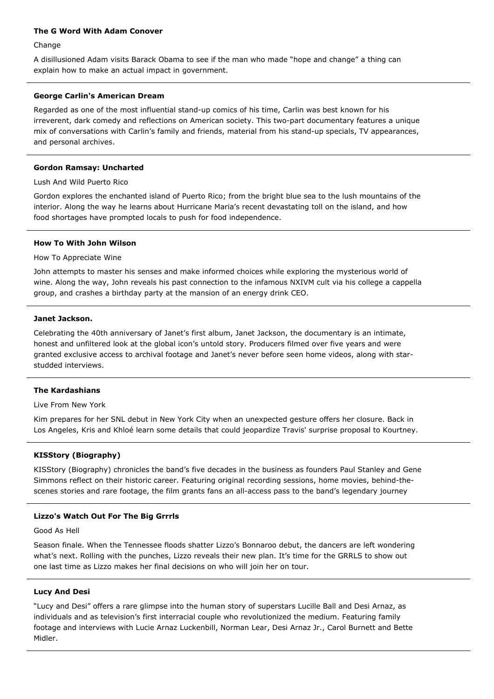#### **The G Word With Adam Conover**

Change

A disillusioned Adam visits Barack Obama to see if the man who made "hope and change" a thing can explain how to make an actual impact in government.

## **George Carlin's American Dream**

Regarded as one of the most influential stand-up comics of his time, Carlin was best known for his irreverent, dark comedy and reflections on American society. This two-part documentary features a unique mix of conversations with Carlin's family and friends, material from his stand-up specials, TV appearances, and personal archives.

## **Gordon Ramsay: Uncharted**

Lush And Wild Puerto Rico

Gordon explores the enchanted island of Puerto Rico; from the bright blue sea to the lush mountains of the interior. Along the way he learns about Hurricane Maria's recent devastating toll on the island, and how food shortages have prompted locals to push for food independence.

#### **How To With John Wilson**

How To Appreciate Wine

John attempts to master his senses and make informed choices while exploring the mysterious world of wine. Along the way, John reveals his past connection to the infamous NXIVM cult via his college a cappella group, and crashes a birthday party at the mansion of an energy drink CEO.

#### **Janet Jackson.**

Celebrating the 40th anniversary of Janet's first album, Janet Jackson, the documentary is an intimate, honest and unfiltered look at the global icon's untold story. Producers filmed over five years and were granted exclusive access to archival footage and Janet's never before seen home videos, along with starstudded interviews.

## **The Kardashians**

Live From New York

Kim prepares for her SNL debut in New York City when an unexpected gesture offers her closure. Back in Los Angeles, Kris and Khloé learn some details that could jeopardize Travis' surprise proposal to Kourtney.

## **KISStory (Biography)**

KISStory (Biography) chronicles the band's five decades in the business as founders Paul Stanley and Gene Simmons reflect on their historic career. Featuring original recording sessions, home movies, behind-thescenes stories and rare footage, the film grants fans an all-access pass to the band's legendary journey

## **Lizzo's Watch Out For The Big Grrrls**

Good As Hell

Season finale. When the Tennessee floods shatter Lizzo's Bonnaroo debut, the dancers are left wondering what's next. Rolling with the punches, Lizzo reveals their new plan. It's time for the GRRLS to show out one last time as Lizzo makes her final decisions on who will join her on tour.

#### **Lucy And Desi**

"Lucy and Desi" offers a rare glimpse into the human story of superstars Lucille Ball and Desi Arnaz, as individuals and as television's first interracial couple who revolutionized the medium. Featuring family footage and interviews with Lucie Arnaz Luckenbill, Norman Lear, Desi Arnaz Jr., Carol Burnett and Bette Midler.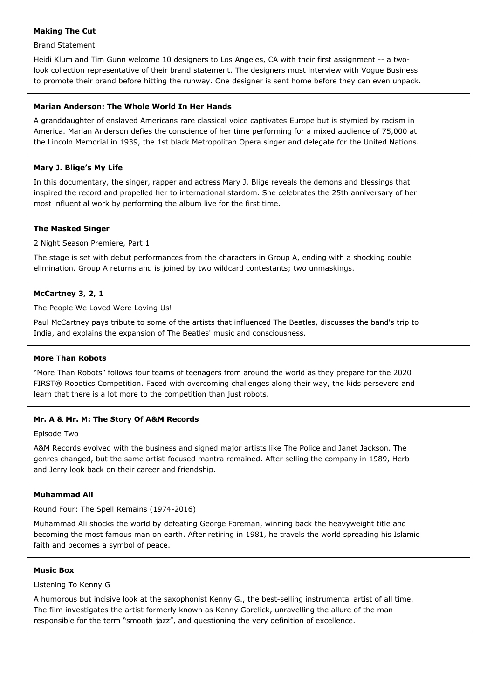## **Making The Cut**

#### Brand Statement

Heidi Klum and Tim Gunn welcome 10 designers to Los Angeles, CA with their first assignment -- a twolook collection representative of their brand statement. The designers must interview with Vogue Business to promote their brand before hitting the runway. One designer is sent home before they can even unpack.

#### **Marian Anderson: The Whole World In Her Hands**

A granddaughter of enslaved Americans rare classical voice captivates Europe but is stymied by racism in America. Marian Anderson defies the conscience of her time performing for a mixed audience of 75,000 at the Lincoln Memorial in 1939, the 1st black Metropolitan Opera singer and delegate for the United Nations.

#### **Mary J. Blige's My Life**

In this documentary, the singer, rapper and actress Mary J. Blige reveals the demons and blessings that inspired the record and propelled her to international stardom. She celebrates the 25th anniversary of her most influential work by performing the album live for the first time.

#### **The Masked Singer**

#### 2 Night Season Premiere, Part 1

The stage is set with debut performances from the characters in Group A, ending with a shocking double elimination. Group A returns and is joined by two wildcard contestants; two unmaskings.

#### **McCartney 3, 2, 1**

The People We Loved Were Loving Us!

Paul McCartney pays tribute to some of the artists that influenced The Beatles, discusses the band's trip to India, and explains the expansion of The Beatles' music and consciousness.

#### **More Than Robots**

"More Than Robots" follows four teams of teenagers from around the world as they prepare for the 2020 FIRST® Robotics Competition. Faced with overcoming challenges along their way, the kids persevere and learn that there is a lot more to the competition than just robots.

#### **Mr. A & Mr. M: The Story Of A&M Records**

#### Episode Two

A&M Records evolved with the business and signed major artists like The Police and Janet Jackson. The genres changed, but the same artist-focused mantra remained. After selling the company in 1989, Herb and Jerry look back on their career and friendship.

## **Muhammad Ali**

Round Four: The Spell Remains (1974-2016)

Muhammad Ali shocks the world by defeating George Foreman, winning back the heavyweight title and becoming the most famous man on earth. After retiring in 1981, he travels the world spreading his Islamic faith and becomes a symbol of peace.

#### **Music Box**

#### Listening To Kenny G

A humorous but incisive look at the saxophonist Kenny G., the best-selling instrumental artist of all time. The film investigates the artist formerly known as Kenny Gorelick, unravelling the allure of the man responsible for the term "smooth jazz", and questioning the very definition of excellence.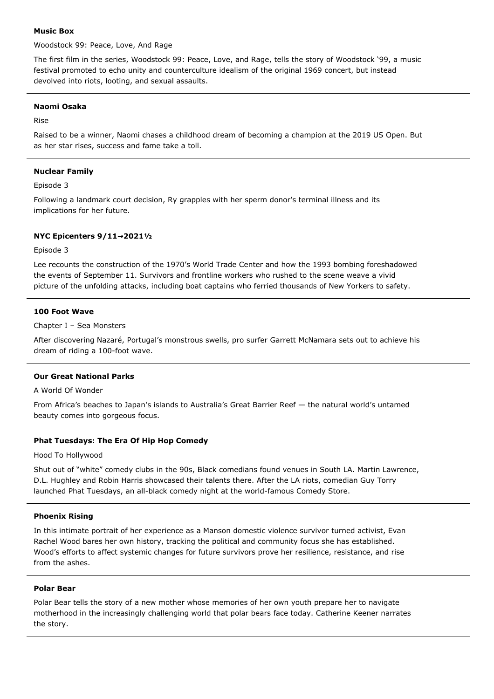#### **Music Box**

Woodstock 99: Peace, Love, And Rage

The first film in the series, Woodstock 99: Peace, Love, and Rage, tells the story of Woodstock '99, a music festival promoted to echo unity and counterculture idealism of the original 1969 concert, but instead devolved into riots, looting, and sexual assaults.

## **Naomi Osaka**

Rise

Raised to be a winner, Naomi chases a childhood dream of becoming a champion at the 2019 US Open. But as her star rises, success and fame take a toll.

## **Nuclear Family**

Episode 3

Following a landmark court decision, Ry grapples with her sperm donor's terminal illness and its implications for her future.

## **NYC Epicenters 9/11→2021½**

#### Episode 3

Lee recounts the construction of the 1970's World Trade Center and how the 1993 bombing foreshadowed the events of September 11. Survivors and frontline workers who rushed to the scene weave a vivid picture of the unfolding attacks, including boat captains who ferried thousands of New Yorkers to safety.

## **100 Foot Wave**

Chapter I – Sea Monsters

After discovering Nazaré, Portugal's monstrous swells, pro surfer Garrett McNamara sets out to achieve his dream of riding a 100-foot wave.

#### **Our Great National Parks**

A World Of Wonder

From Africa's beaches to Japan's islands to Australia's Great Barrier Reef — the natural world's untamed beauty comes into gorgeous focus.

## **Phat Tuesdays: The Era Of Hip Hop Comedy**

Hood To Hollywood

Shut out of "white" comedy clubs in the 90s, Black comedians found venues in South LA. Martin Lawrence, D.L. Hughley and Robin Harris showcased their talents there. After the LA riots, comedian Guy Torry launched Phat Tuesdays, an all-black comedy night at the world-famous Comedy Store.

#### **Phoenix Rising**

In this intimate portrait of her experience as a Manson domestic violence survivor turned activist, Evan Rachel Wood bares her own history, tracking the political and community focus she has established. Wood's efforts to affect systemic changes for future survivors prove her resilience, resistance, and rise from the ashes.

#### **Polar Bear**

Polar Bear tells the story of a new mother whose memories of her own youth prepare her to navigate motherhood in the increasingly challenging world that polar bears face today. Catherine Keener narrates the story.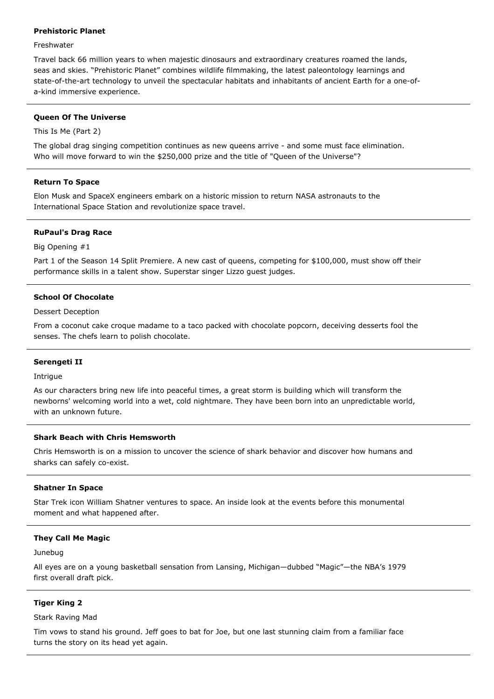## **Prehistoric Planet**

#### **Freshwater**

Travel back 66 million years to when majestic dinosaurs and extraordinary creatures roamed the lands, seas and skies. "Prehistoric Planet" combines wildlife filmmaking, the latest paleontology learnings and state-of-the-art technology to unveil the spectacular habitats and inhabitants of ancient Earth for a one-ofa-kind immersive experience.

#### **Queen Of The Universe**

This Is Me (Part 2)

The global drag singing competition continues as new queens arrive - and some must face elimination. Who will move forward to win the \$250,000 prize and the title of "Queen of the Universe"?

#### **Return To Space**

Elon Musk and SpaceX engineers embark on a historic mission to return NASA astronauts to the International Space Station and revolutionize space travel.

#### **RuPaul's Drag Race**

Big Opening #1

Part 1 of the Season 14 Split Premiere. A new cast of queens, competing for \$100,000, must show off their performance skills in a talent show. Superstar singer Lizzo guest judges.

#### **School Of Chocolate**

Dessert Deception

From a coconut cake croque madame to a taco packed with chocolate popcorn, deceiving desserts fool the senses. The chefs learn to polish chocolate.

#### **Serengeti II**

Intrigue

As our characters bring new life into peaceful times, a great storm is building which will transform the newborns' welcoming world into a wet, cold nightmare. They have been born into an unpredictable world, with an unknown future.

#### **Shark Beach with Chris Hemsworth**

Chris Hemsworth is on a mission to uncover the science of shark behavior and discover how humans and sharks can safely co-exist.

#### **Shatner In Space**

Star Trek icon William Shatner ventures to space. An inside look at the events before this monumental moment and what happened after.

#### **They Call Me Magic**

#### Junebug

All eyes are on a young basketball sensation from Lansing, Michigan—dubbed "Magic"—the NBA's 1979 first overall draft pick.

#### **Tiger King 2**

Stark Raving Mad

Tim vows to stand his ground. Jeff goes to bat for Joe, but one last stunning claim from a familiar face turns the story on its head yet again.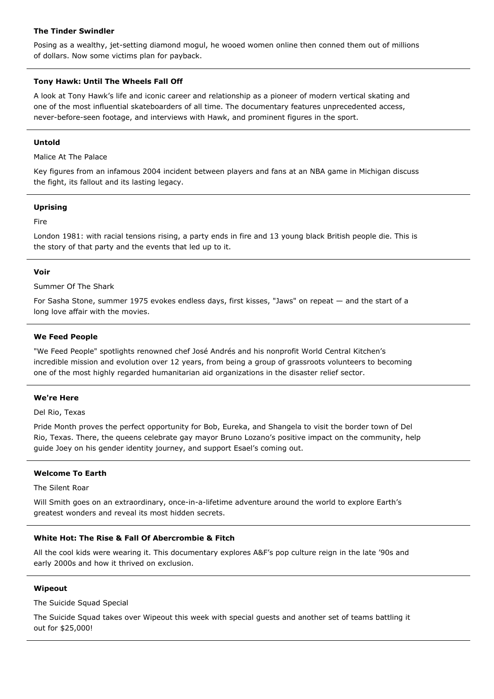## **The Tinder Swindler**

Posing as a wealthy, jet-setting diamond mogul, he wooed women online then conned them out of millions of dollars. Now some victims plan for payback.

## **Tony Hawk: Until The Wheels Fall Off**

A look at Tony Hawk's life and iconic career and relationship as a pioneer of modern vertical skating and one of the most influential skateboarders of all time. The documentary features unprecedented access, never-before-seen footage, and interviews with Hawk, and prominent figures in the sport.

#### **Untold**

Malice At The Palace

Key figures from an infamous 2004 incident between players and fans at an NBA game in Michigan discuss the fight, its fallout and its lasting legacy.

#### **Uprising**

Fire

London 1981: with racial tensions rising, a party ends in fire and 13 young black British people die. This is the story of that party and the events that led up to it.

## **Voir**

Summer Of The Shark

For Sasha Stone, summer 1975 evokes endless days, first kisses, "Jaws" on repeat — and the start of a long love affair with the movies.

## **We Feed People**

"We Feed People" spotlights renowned chef José Andrés and his nonprofit World Central Kitchen's incredible mission and evolution over 12 years, from being a group of grassroots volunteers to becoming one of the most highly regarded humanitarian aid organizations in the disaster relief sector.

## **We're Here**

Del Rio, Texas

Pride Month proves the perfect opportunity for Bob, Eureka, and Shangela to visit the border town of Del Rio, Texas. There, the queens celebrate gay mayor Bruno Lozano's positive impact on the community, help guide Joey on his gender identity journey, and support Esael's coming out.

## **Welcome To Earth**

The Silent Roar

Will Smith goes on an extraordinary, once-in-a-lifetime adventure around the world to explore Earth's greatest wonders and reveal its most hidden secrets.

## **White Hot: The Rise & Fall Of Abercrombie & Fitch**

All the cool kids were wearing it. This documentary explores A&F's pop culture reign in the late '90s and early 2000s and how it thrived on exclusion.

## **Wipeout**

The Suicide Squad Special

The Suicide Squad takes over Wipeout this week with special guests and another set of teams battling it out for \$25,000!